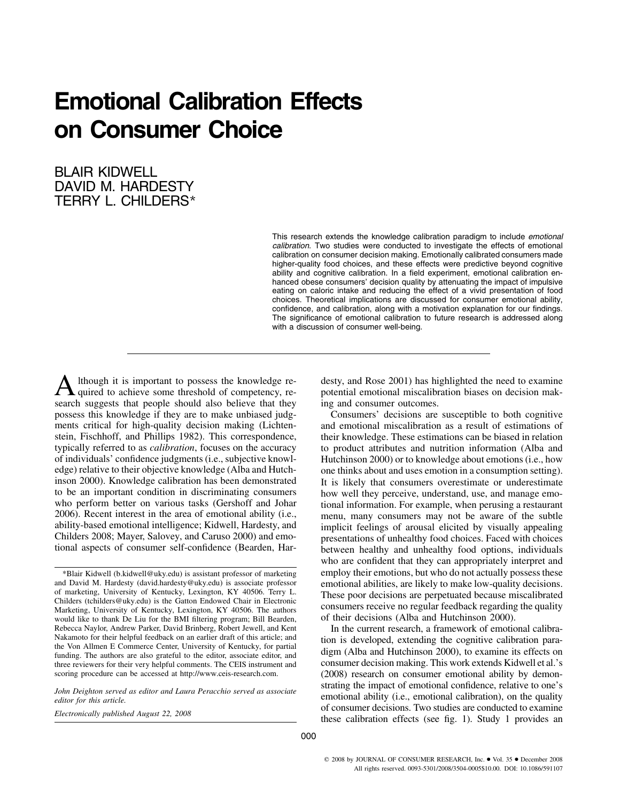# **Emotional Calibration Effects on Consumer Choice**

BLAIR KIDWELL DAVID M. HARDESTY TERRY L. CHILDERS\*

> This research extends the knowledge calibration paradigm to include *emotional calibration*. Two studies were conducted to investigate the effects of emotional calibration on consumer decision making. Emotionally calibrated consumers made higher-quality food choices, and these effects were predictive beyond cognitive ability and cognitive calibration. In a field experiment, emotional calibration enhanced obese consumers' decision quality by attenuating the impact of impulsive eating on caloric intake and reducing the effect of a vivid presentation of food choices. Theoretical implications are discussed for consumer emotional ability, confidence, and calibration, along with a motivation explanation for our findings. The significance of emotional calibration to future research is addressed along with a discussion of consumer well-being.

A lthough it is important to possess the knowledge re-<br>quired to achieve some threshold of competency, research suggests that people should also believe that they possess this knowledge if they are to make unbiased judgments critical for high-quality decision making (Lichtenstein, Fischhoff, and Phillips 1982). This correspondence, typically referred to as *calibration*, focuses on the accuracy of individuals' confidence judgments (i.e., subjective knowledge) relative to their objective knowledge (Alba and Hutchinson 2000). Knowledge calibration has been demonstrated to be an important condition in discriminating consumers who perform better on various tasks (Gershoff and Johar 2006). Recent interest in the area of emotional ability (i.e., ability-based emotional intelligence; Kidwell, Hardesty, and Childers 2008; Mayer, Salovey, and Caruso 2000) and emotional aspects of consumer self-confidence (Bearden, Har-

*John Deighton served as editor and Laura Peracchio served as associate editor for this article.*

*Electronically published August 22, 2008*

desty, and Rose 2001) has highlighted the need to examine potential emotional miscalibration biases on decision making and consumer outcomes.

Consumers' decisions are susceptible to both cognitive and emotional miscalibration as a result of estimations of their knowledge. These estimations can be biased in relation to product attributes and nutrition information (Alba and Hutchinson 2000) or to knowledge about emotions (i.e., how one thinks about and uses emotion in a consumption setting). It is likely that consumers overestimate or underestimate how well they perceive, understand, use, and manage emotional information. For example, when perusing a restaurant menu, many consumers may not be aware of the subtle implicit feelings of arousal elicited by visually appealing presentations of unhealthy food choices. Faced with choices between healthy and unhealthy food options, individuals who are confident that they can appropriately interpret and employ their emotions, but who do not actually possess these emotional abilities, are likely to make low-quality decisions. These poor decisions are perpetuated because miscalibrated consumers receive no regular feedback regarding the quality of their decisions (Alba and Hutchinson 2000).

In the current research, a framework of emotional calibration is developed, extending the cognitive calibration paradigm (Alba and Hutchinson 2000), to examine its effects on consumer decision making. This work extends Kidwell et al.'s (2008) research on consumer emotional ability by demonstrating the impact of emotional confidence, relative to one's emotional ability (i.e., emotional calibration), on the quality of consumer decisions. Two studies are conducted to examine these calibration effects (see fig. 1). Study 1 provides an

<sup>\*</sup>Blair Kidwell (b.kidwell@uky.edu) is assistant professor of marketing and David M. Hardesty (david.hardesty@uky.edu) is associate professor of marketing, University of Kentucky, Lexington, KY 40506. Terry L. Childers (tchilders@uky.edu) is the Gatton Endowed Chair in Electronic Marketing, University of Kentucky, Lexington, KY 40506. The authors would like to thank De Liu for the BMI filtering program; Bill Bearden, Rebecca Naylor, Andrew Parker, David Brinberg, Robert Jewell, and Kent Nakamoto for their helpful feedback on an earlier draft of this article; and the Von Allmen E Commerce Center, University of Kentucky, for partial funding. The authors are also grateful to the editor, associate editor, and three reviewers for their very helpful comments. The CEIS instrument and scoring procedure can be accessed at http://www.ceis-research.com.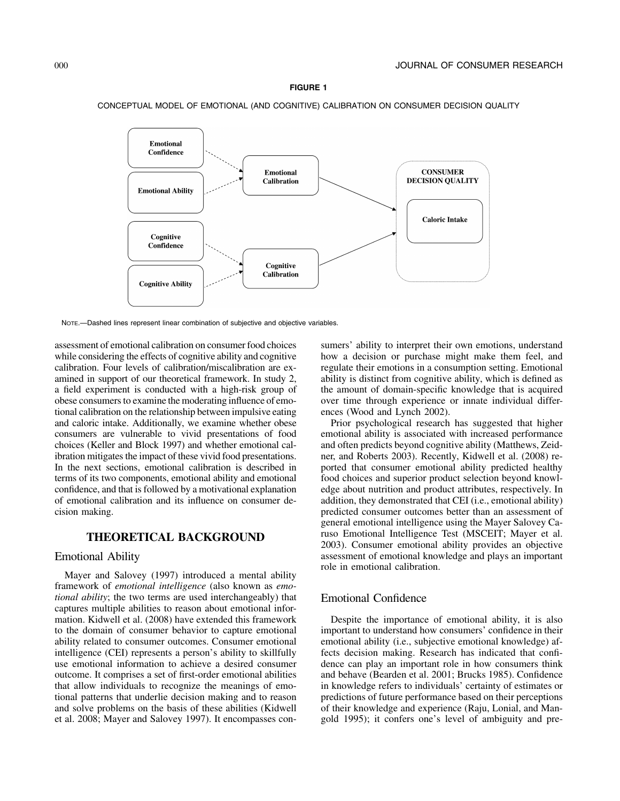#### **FIGURE 1**

CONCEPTUAL MODEL OF EMOTIONAL (AND COGNITIVE) CALIBRATION ON CONSUMER DECISION QUALITY



NOTE.—Dashed lines represent linear combination of subjective and objective variables.

assessment of emotional calibration on consumer food choices while considering the effects of cognitive ability and cognitive calibration. Four levels of calibration/miscalibration are examined in support of our theoretical framework. In study 2, a field experiment is conducted with a high-risk group of obese consumers to examine the moderating influence of emotional calibration on the relationship between impulsive eating and caloric intake. Additionally, we examine whether obese consumers are vulnerable to vivid presentations of food choices (Keller and Block 1997) and whether emotional calibration mitigates the impact of these vivid food presentations. In the next sections, emotional calibration is described in terms of its two components, emotional ability and emotional confidence, and that is followed by a motivational explanation of emotional calibration and its influence on consumer decision making.

# **THEORETICAL BACKGROUND**

# Emotional Ability

Mayer and Salovey (1997) introduced a mental ability framework of *emotional intelligence* (also known as *emotional ability*; the two terms are used interchangeably) that captures multiple abilities to reason about emotional information. Kidwell et al. (2008) have extended this framework to the domain of consumer behavior to capture emotional ability related to consumer outcomes. Consumer emotional intelligence (CEI) represents a person's ability to skillfully use emotional information to achieve a desired consumer outcome. It comprises a set of first-order emotional abilities that allow individuals to recognize the meanings of emotional patterns that underlie decision making and to reason and solve problems on the basis of these abilities (Kidwell et al. 2008; Mayer and Salovey 1997). It encompasses consumers' ability to interpret their own emotions, understand how a decision or purchase might make them feel, and regulate their emotions in a consumption setting. Emotional ability is distinct from cognitive ability, which is defined as the amount of domain-specific knowledge that is acquired over time through experience or innate individual differences (Wood and Lynch 2002).

Prior psychological research has suggested that higher emotional ability is associated with increased performance and often predicts beyond cognitive ability (Matthews, Zeidner, and Roberts 2003). Recently, Kidwell et al. (2008) reported that consumer emotional ability predicted healthy food choices and superior product selection beyond knowledge about nutrition and product attributes, respectively. In addition, they demonstrated that CEI (i.e., emotional ability) predicted consumer outcomes better than an assessment of general emotional intelligence using the Mayer Salovey Caruso Emotional Intelligence Test (MSCEIT; Mayer et al. 2003). Consumer emotional ability provides an objective assessment of emotional knowledge and plays an important role in emotional calibration.

## Emotional Confidence

Despite the importance of emotional ability, it is also important to understand how consumers' confidence in their emotional ability (i.e., subjective emotional knowledge) affects decision making. Research has indicated that confidence can play an important role in how consumers think and behave (Bearden et al. 2001; Brucks 1985). Confidence in knowledge refers to individuals' certainty of estimates or predictions of future performance based on their perceptions of their knowledge and experience (Raju, Lonial, and Mangold 1995); it confers one's level of ambiguity and pre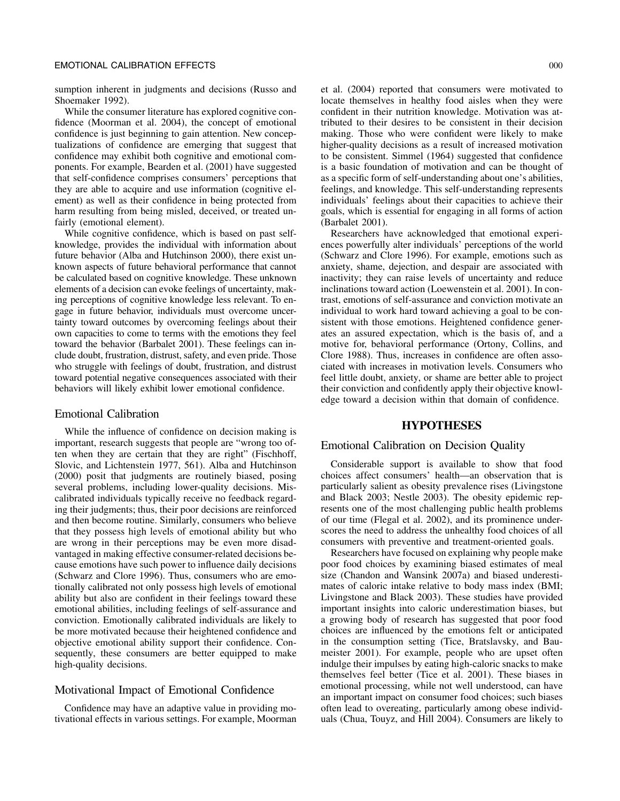sumption inherent in judgments and decisions (Russo and Shoemaker 1992).

While the consumer literature has explored cognitive confidence (Moorman et al. 2004), the concept of emotional confidence is just beginning to gain attention. New conceptualizations of confidence are emerging that suggest that confidence may exhibit both cognitive and emotional components. For example, Bearden et al. (2001) have suggested that self-confidence comprises consumers' perceptions that they are able to acquire and use information (cognitive element) as well as their confidence in being protected from harm resulting from being misled, deceived, or treated unfairly (emotional element).

While cognitive confidence, which is based on past selfknowledge, provides the individual with information about future behavior (Alba and Hutchinson 2000), there exist unknown aspects of future behavioral performance that cannot be calculated based on cognitive knowledge. These unknown elements of a decision can evoke feelings of uncertainty, making perceptions of cognitive knowledge less relevant. To engage in future behavior, individuals must overcome uncertainty toward outcomes by overcoming feelings about their own capacities to come to terms with the emotions they feel toward the behavior (Barbalet 2001). These feelings can include doubt, frustration, distrust, safety, and even pride. Those who struggle with feelings of doubt, frustration, and distrust toward potential negative consequences associated with their behaviors will likely exhibit lower emotional confidence.

## Emotional Calibration

While the influence of confidence on decision making is important, research suggests that people are "wrong too often when they are certain that they are right" (Fischhoff, Slovic, and Lichtenstein 1977, 561). Alba and Hutchinson (2000) posit that judgments are routinely biased, posing several problems, including lower-quality decisions. Miscalibrated individuals typically receive no feedback regarding their judgments; thus, their poor decisions are reinforced and then become routine. Similarly, consumers who believe that they possess high levels of emotional ability but who are wrong in their perceptions may be even more disadvantaged in making effective consumer-related decisions because emotions have such power to influence daily decisions (Schwarz and Clore 1996). Thus, consumers who are emotionally calibrated not only possess high levels of emotional ability but also are confident in their feelings toward these emotional abilities, including feelings of self-assurance and conviction. Emotionally calibrated individuals are likely to be more motivated because their heightened confidence and objective emotional ability support their confidence. Consequently, these consumers are better equipped to make high-quality decisions.

# Motivational Impact of Emotional Confidence

Confidence may have an adaptive value in providing motivational effects in various settings. For example, Moorman et al. (2004) reported that consumers were motivated to locate themselves in healthy food aisles when they were confident in their nutrition knowledge. Motivation was attributed to their desires to be consistent in their decision making. Those who were confident were likely to make higher-quality decisions as a result of increased motivation to be consistent. Simmel (1964) suggested that confidence is a basic foundation of motivation and can be thought of as a specific form of self-understanding about one's abilities, feelings, and knowledge. This self-understanding represents individuals' feelings about their capacities to achieve their goals, which is essential for engaging in all forms of action (Barbalet 2001).

Researchers have acknowledged that emotional experiences powerfully alter individuals' perceptions of the world (Schwarz and Clore 1996). For example, emotions such as anxiety, shame, dejection, and despair are associated with inactivity; they can raise levels of uncertainty and reduce inclinations toward action (Loewenstein et al. 2001). In contrast, emotions of self-assurance and conviction motivate an individual to work hard toward achieving a goal to be consistent with those emotions. Heightened confidence generates an assured expectation, which is the basis of, and a motive for, behavioral performance (Ortony, Collins, and Clore 1988). Thus, increases in confidence are often associated with increases in motivation levels. Consumers who feel little doubt, anxiety, or shame are better able to project their conviction and confidently apply their objective knowledge toward a decision within that domain of confidence.

# **HYPOTHESES**

# Emotional Calibration on Decision Quality

Considerable support is available to show that food choices affect consumers' health—an observation that is particularly salient as obesity prevalence rises (Livingstone and Black 2003; Nestle 2003). The obesity epidemic represents one of the most challenging public health problems of our time (Flegal et al. 2002), and its prominence underscores the need to address the unhealthy food choices of all consumers with preventive and treatment-oriented goals.

Researchers have focused on explaining why people make poor food choices by examining biased estimates of meal size (Chandon and Wansink 2007a) and biased underestimates of caloric intake relative to body mass index (BMI; Livingstone and Black 2003). These studies have provided important insights into caloric underestimation biases, but a growing body of research has suggested that poor food choices are influenced by the emotions felt or anticipated in the consumption setting (Tice, Bratslavsky, and Baumeister 2001). For example, people who are upset often indulge their impulses by eating high-caloric snacks to make themselves feel better (Tice et al. 2001). These biases in emotional processing, while not well understood, can have an important impact on consumer food choices; such biases often lead to overeating, particularly among obese individuals (Chua, Touyz, and Hill 2004). Consumers are likely to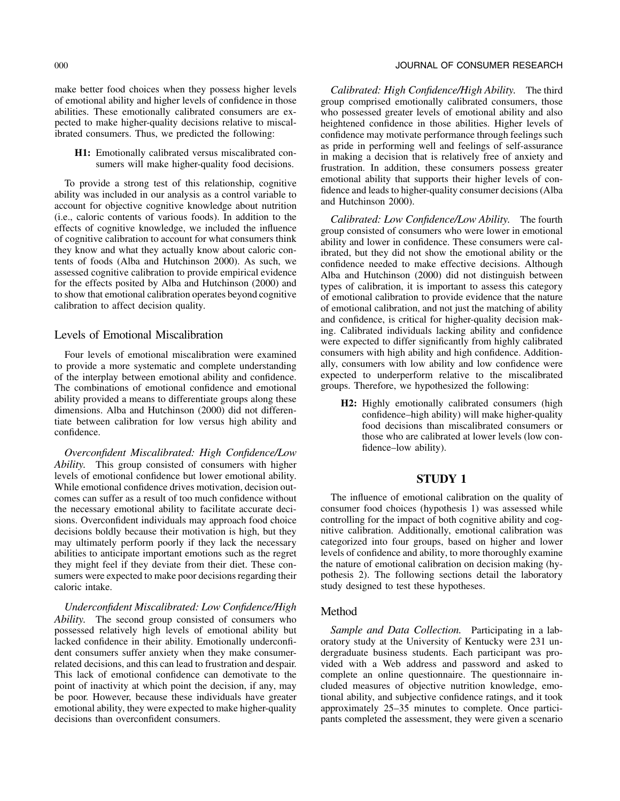# make better food choices when they possess higher levels of emotional ability and higher levels of confidence in those abilities. These emotionally calibrated consumers are expected to make higher-quality decisions relative to miscalibrated consumers. Thus, we predicted the following:

**H1:** Emotionally calibrated versus miscalibrated consumers will make higher-quality food decisions.

To provide a strong test of this relationship, cognitive ability was included in our analysis as a control variable to account for objective cognitive knowledge about nutrition (i.e., caloric contents of various foods). In addition to the effects of cognitive knowledge, we included the influence of cognitive calibration to account for what consumers think they know and what they actually know about caloric contents of foods (Alba and Hutchinson 2000). As such, we assessed cognitive calibration to provide empirical evidence for the effects posited by Alba and Hutchinson (2000) and to show that emotional calibration operates beyond cognitive calibration to affect decision quality.

# Levels of Emotional Miscalibration

Four levels of emotional miscalibration were examined to provide a more systematic and complete understanding of the interplay between emotional ability and confidence. The combinations of emotional confidence and emotional ability provided a means to differentiate groups along these dimensions. Alba and Hutchinson (2000) did not differentiate between calibration for low versus high ability and confidence.

*Overconfident Miscalibrated: High Confidence/Low Ability.* This group consisted of consumers with higher levels of emotional confidence but lower emotional ability. While emotional confidence drives motivation, decision outcomes can suffer as a result of too much confidence without the necessary emotional ability to facilitate accurate decisions. Overconfident individuals may approach food choice decisions boldly because their motivation is high, but they may ultimately perform poorly if they lack the necessary abilities to anticipate important emotions such as the regret they might feel if they deviate from their diet. These consumers were expected to make poor decisions regarding their caloric intake.

*Underconfident Miscalibrated: Low Confidence/High Ability.* The second group consisted of consumers who possessed relatively high levels of emotional ability but lacked confidence in their ability. Emotionally underconfident consumers suffer anxiety when they make consumerrelated decisions, and this can lead to frustration and despair. This lack of emotional confidence can demotivate to the point of inactivity at which point the decision, if any, may be poor. However, because these individuals have greater emotional ability, they were expected to make higher-quality decisions than overconfident consumers.

## 000 JOURNAL OF CONSUMER RESEARCH

*Calibrated: High Confidence/High Ability.* The third group comprised emotionally calibrated consumers, those who possessed greater levels of emotional ability and also heightened confidence in those abilities. Higher levels of confidence may motivate performance through feelings such as pride in performing well and feelings of self-assurance in making a decision that is relatively free of anxiety and frustration. In addition, these consumers possess greater emotional ability that supports their higher levels of confidence and leads to higher-quality consumer decisions (Alba and Hutchinson 2000).

*Calibrated: Low Confidence/Low Ability.* The fourth group consisted of consumers who were lower in emotional ability and lower in confidence. These consumers were calibrated, but they did not show the emotional ability or the confidence needed to make effective decisions. Although Alba and Hutchinson (2000) did not distinguish between types of calibration, it is important to assess this category of emotional calibration to provide evidence that the nature of emotional calibration, and not just the matching of ability and confidence, is critical for higher-quality decision making. Calibrated individuals lacking ability and confidence were expected to differ significantly from highly calibrated consumers with high ability and high confidence. Additionally, consumers with low ability and low confidence were expected to underperform relative to the miscalibrated groups. Therefore, we hypothesized the following:

**H2:** Highly emotionally calibrated consumers (high confidence–high ability) will make higher-quality food decisions than miscalibrated consumers or those who are calibrated at lower levels (low confidence–low ability).

# **STUDY 1**

The influence of emotional calibration on the quality of consumer food choices (hypothesis 1) was assessed while controlling for the impact of both cognitive ability and cognitive calibration. Additionally, emotional calibration was categorized into four groups, based on higher and lower levels of confidence and ability, to more thoroughly examine the nature of emotional calibration on decision making (hypothesis 2). The following sections detail the laboratory study designed to test these hypotheses.

## Method

*Sample and Data Collection.* Participating in a laboratory study at the University of Kentucky were 231 undergraduate business students. Each participant was provided with a Web address and password and asked to complete an online questionnaire. The questionnaire included measures of objective nutrition knowledge, emotional ability, and subjective confidence ratings, and it took approximately 25–35 minutes to complete. Once participants completed the assessment, they were given a scenario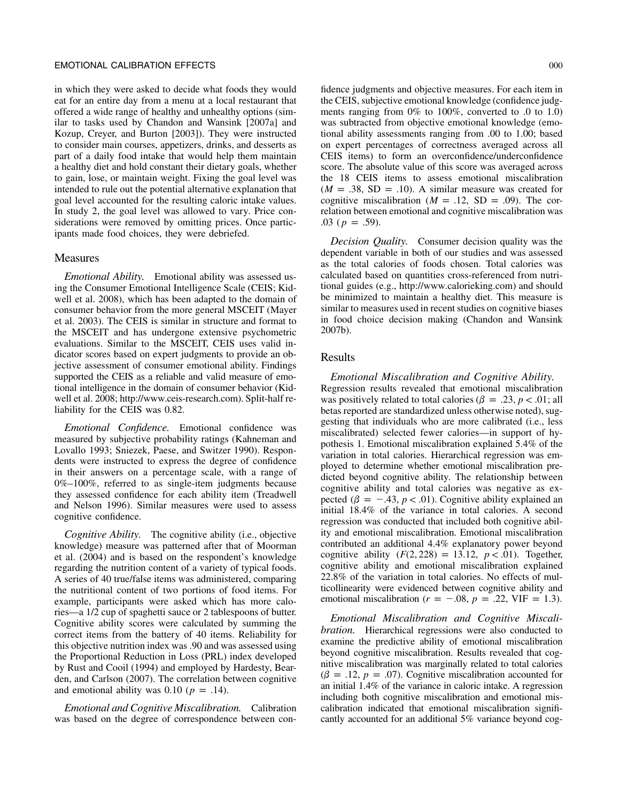## EMOTIONAL CALIBRATION EFFECTS 000

in which they were asked to decide what foods they would eat for an entire day from a menu at a local restaurant that offered a wide range of healthy and unhealthy options (similar to tasks used by Chandon and Wansink [2007a] and Kozup, Creyer, and Burton [2003]). They were instructed to consider main courses, appetizers, drinks, and desserts as part of a daily food intake that would help them maintain a healthy diet and hold constant their dietary goals, whether to gain, lose, or maintain weight. Fixing the goal level was intended to rule out the potential alternative explanation that goal level accounted for the resulting caloric intake values. In study 2, the goal level was allowed to vary. Price considerations were removed by omitting prices. Once participants made food choices, they were debriefed.

#### Measures

*Emotional Ability.* Emotional ability was assessed using the Consumer Emotional Intelligence Scale (CEIS; Kidwell et al. 2008), which has been adapted to the domain of consumer behavior from the more general MSCEIT (Mayer et al. 2003). The CEIS is similar in structure and format to the MSCEIT and has undergone extensive psychometric evaluations. Similar to the MSCEIT, CEIS uses valid indicator scores based on expert judgments to provide an objective assessment of consumer emotional ability. Findings supported the CEIS as a reliable and valid measure of emotional intelligence in the domain of consumer behavior (Kidwell et al. 2008; http://www.ceis-research.com). Split-half reliability for the CEIS was 0.82.

*Emotional Confidence.* Emotional confidence was measured by subjective probability ratings (Kahneman and Lovallo 1993; Sniezek, Paese, and Switzer 1990). Respondents were instructed to express the degree of confidence in their answers on a percentage scale, with a range of 0%–100%, referred to as single-item judgments because they assessed confidence for each ability item (Treadwell and Nelson 1996). Similar measures were used to assess cognitive confidence.

*Cognitive Ability.* The cognitive ability (i.e., objective knowledge) measure was patterned after that of Moorman et al. (2004) and is based on the respondent's knowledge regarding the nutrition content of a variety of typical foods. A series of 40 true/false items was administered, comparing the nutritional content of two portions of food items. For example, participants were asked which has more calories—a 1/2 cup of spaghetti sauce or 2 tablespoons of butter. Cognitive ability scores were calculated by summing the correct items from the battery of 40 items. Reliability for this objective nutrition index was .90 and was assessed using the Proportional Reduction in Loss (PRL) index developed by Rust and Cooil (1994) and employed by Hardesty, Bearden, and Carlson (2007). The correlation between cognitive and emotional ability was 0.10 ( $p = .14$ ).

*Emotional and Cognitive Miscalibration.* Calibration was based on the degree of correspondence between confidence judgments and objective measures. For each item in the CEIS, subjective emotional knowledge (confidence judgments ranging from 0% to 100%, converted to .0 to 1.0) was subtracted from objective emotional knowledge (emotional ability assessments ranging from .00 to 1.00; based on expert percentages of correctness averaged across all CEIS items) to form an overconfidence/underconfidence score. The absolute value of this score was averaged across the 18 CEIS items to assess emotional miscalibration  $(M = .38, SD = .10)$ . A similar measure was created for cognitive miscalibration  $(M = .12, SD = .09)$ . The correlation between emotional and cognitive miscalibration was .03 ( $p = .59$ ).

*Decision Quality.* Consumer decision quality was the dependent variable in both of our studies and was assessed as the total calories of foods chosen. Total calories was calculated based on quantities cross-referenced from nutritional guides (e.g., http://www.calorieking.com) and should be minimized to maintain a healthy diet. This measure is similar to measures used in recent studies on cognitive biases in food choice decision making (Chandon and Wansink 2007b).

# Results

*Emotional Miscalibration and Cognitive Ability.* Regression results revealed that emotional miscalibration was positively related to total calories ( $\beta = .23, p < .01$ ; all betas reported are standardized unless otherwise noted), suggesting that individuals who are more calibrated (i.e., less miscalibrated) selected fewer calories—in support of hypothesis 1. Emotional miscalibration explained 5.4% of the variation in total calories. Hierarchical regression was employed to determine whether emotional miscalibration predicted beyond cognitive ability. The relationship between cognitive ability and total calories was negative as expected ( $\beta = -.43, p < .01$ ). Cognitive ability explained an initial 18.4% of the variance in total calories. A second regression was conducted that included both cognitive ability and emotional miscalibration. Emotional miscalibration contributed an additional 4.4% explanatory power beyond cognitive ability  $(F(2, 228) = 13.12, p < .01)$ . Together, cognitive ability and emotional miscalibration explained 22.8% of the variation in total calories. No effects of multicollinearity were evidenced between cognitive ability and emotional miscalibration ( $r = -.08$ ,  $p = .22$ , VIF = 1.3).

*Emotional Miscalibration and Cognitive Miscalibration.* Hierarchical regressions were also conducted to examine the predictive ability of emotional miscalibration beyond cognitive miscalibration. Results revealed that cognitive miscalibration was marginally related to total calories  $(\beta = .12, p = .07)$ . Cognitive miscalibration accounted for an initial 1.4% of the variance in caloric intake. A regression including both cognitive miscalibration and emotional miscalibration indicated that emotional miscalibration significantly accounted for an additional 5% variance beyond cog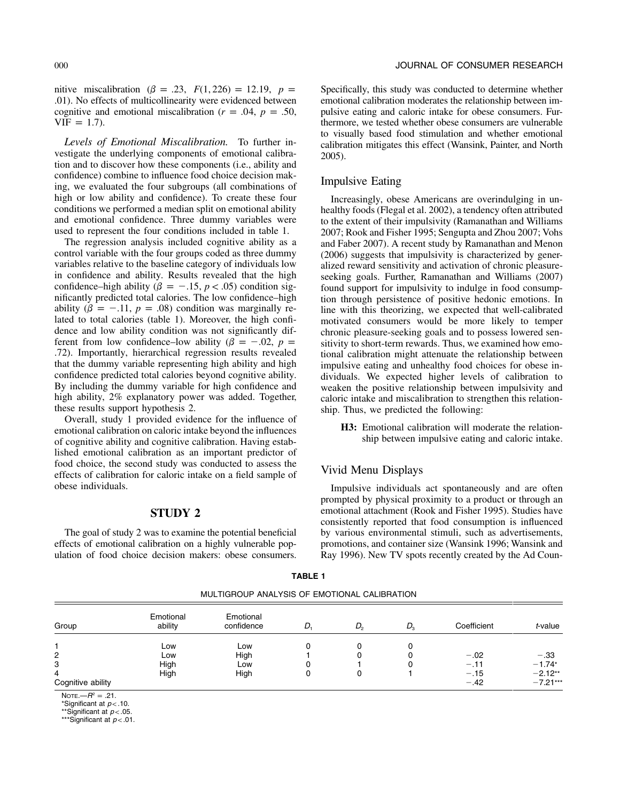nitive miscalibration ( $\beta = .23$ ,  $F(1, 226) = 12.19$ ,  $p =$ .01). No effects of multicollinearity were evidenced between cognitive and emotional miscalibration ( $r = .04$ ,  $p = .50$ ,  $VIF = 1.7$ ).

*Levels of Emotional Miscalibration.* To further investigate the underlying components of emotional calibration and to discover how these components (i.e., ability and confidence) combine to influence food choice decision making, we evaluated the four subgroups (all combinations of high or low ability and confidence). To create these four conditions we performed a median split on emotional ability and emotional confidence. Three dummy variables were used to represent the four conditions included in table 1.

The regression analysis included cognitive ability as a control variable with the four groups coded as three dummy variables relative to the baseline category of individuals low in confidence and ability. Results revealed that the high confidence–high ability ( $\beta = -.15$ ,  $p < .05$ ) condition significantly predicted total calories. The low confidence–high ability ( $\beta = -.11$ ,  $p = .08$ ) condition was marginally related to total calories (table 1). Moreover, the high confidence and low ability condition was not significantly different from low confidence–low ability ( $\beta = -.02$ ,  $p =$ .72). Importantly, hierarchical regression results revealed that the dummy variable representing high ability and high confidence predicted total calories beyond cognitive ability. By including the dummy variable for high confidence and high ability, 2% explanatory power was added. Together, these results support hypothesis 2.

Overall, study 1 provided evidence for the influence of emotional calibration on caloric intake beyond the influences of cognitive ability and cognitive calibration. Having established emotional calibration as an important predictor of food choice, the second study was conducted to assess the effects of calibration for caloric intake on a field sample of obese individuals.

# **STUDY 2**

The goal of study 2 was to examine the potential beneficial effects of emotional calibration on a highly vulnerable population of food choice decision makers: obese consumers. Specifically, this study was conducted to determine whether emotional calibration moderates the relationship between impulsive eating and caloric intake for obese consumers. Furthermore, we tested whether obese consumers are vulnerable to visually based food stimulation and whether emotional calibration mitigates this effect (Wansink, Painter, and North 2005).

# Impulsive Eating

Increasingly, obese Americans are overindulging in unhealthy foods (Flegal et al. 2002), a tendency often attributed to the extent of their impulsivity (Ramanathan and Williams 2007; Rook and Fisher 1995; Sengupta and Zhou 2007; Vohs and Faber 2007). A recent study by Ramanathan and Menon (2006) suggests that impulsivity is characterized by generalized reward sensitivity and activation of chronic pleasureseeking goals. Further, Ramanathan and Williams (2007) found support for impulsivity to indulge in food consumption through persistence of positive hedonic emotions. In line with this theorizing, we expected that well-calibrated motivated consumers would be more likely to temper chronic pleasure-seeking goals and to possess lowered sensitivity to short-term rewards. Thus, we examined how emotional calibration might attenuate the relationship between impulsive eating and unhealthy food choices for obese individuals. We expected higher levels of calibration to weaken the positive relationship between impulsivity and caloric intake and miscalibration to strengthen this relationship. Thus, we predicted the following:

**H3:** Emotional calibration will moderate the relationship between impulsive eating and caloric intake.

# Vivid Menu Displays

Impulsive individuals act spontaneously and are often prompted by physical proximity to a product or through an emotional attachment (Rook and Fisher 1995). Studies have consistently reported that food consumption is influenced by various environmental stimuli, such as advertisements, promotions, and container size (Wansink 1996; Wansink and Ray 1996). New TV spots recently created by the Ad Coun-

| MULTIGROUP ANALYSIS OF EMOTIONAL CALIBRATION |                      |                         |   |    |         |             |            |
|----------------------------------------------|----------------------|-------------------------|---|----|---------|-------------|------------|
| Group                                        | Emotional<br>ability | Emotional<br>confidence | D | D, | $D_{3}$ | Coefficient | t-value    |
|                                              | Low                  | Low                     |   | 0  | 0       |             |            |
| 2                                            | Low                  | High                    |   |    | 0       | $-.02$      | $-.33$     |
| 3                                            | High                 | Low                     |   |    |         | $-.11$      | $-1.74*$   |
| 4                                            | High                 | High                    |   | 0  |         | $-.15$      | $-2.12**$  |
| Cognitive ability                            |                      |                         |   |    |         | $-.42$      | $-7.21***$ |

**TABLE 1**

 $NOTE. - R^2 = .21.$ 

\*Significant at  $p$  < .10.

\*\*Significant at  $p < .05$ .

\*\*\*Significant at  $p < .01$ .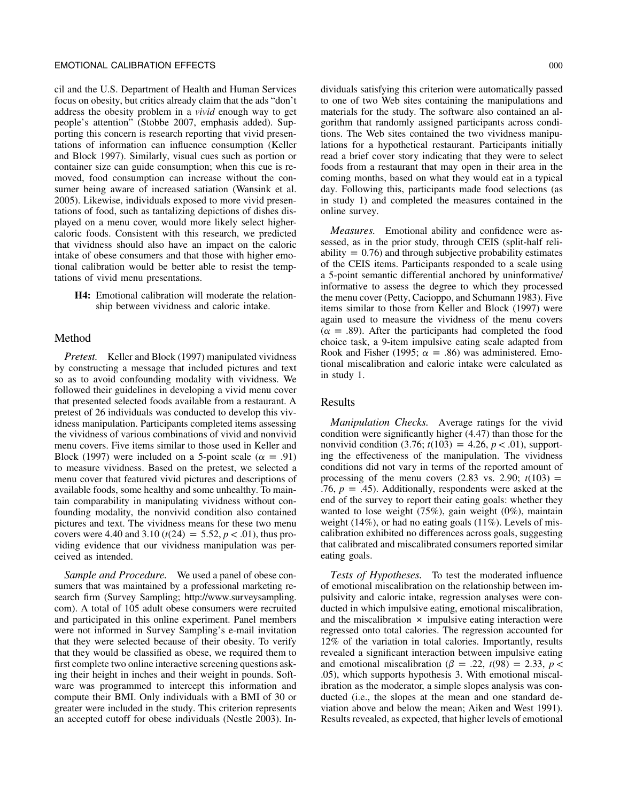## EMOTIONAL CALIBRATION EFFECTS 000

cil and the U.S. Department of Health and Human Services focus on obesity, but critics already claim that the ads "don't address the obesity problem in a *vivid* enough way to get people's attention" (Stobbe 2007, emphasis added). Supporting this concern is research reporting that vivid presentations of information can influence consumption (Keller and Block 1997). Similarly, visual cues such as portion or container size can guide consumption; when this cue is removed, food consumption can increase without the consumer being aware of increased satiation (Wansink et al. 2005). Likewise, individuals exposed to more vivid presentations of food, such as tantalizing depictions of dishes displayed on a menu cover, would more likely select highercaloric foods. Consistent with this research, we predicted that vividness should also have an impact on the caloric intake of obese consumers and that those with higher emotional calibration would be better able to resist the temptations of vivid menu presentations.

**H4:** Emotional calibration will moderate the relationship between vividness and caloric intake.

# Method

*Pretest.* Keller and Block (1997) manipulated vividness by constructing a message that included pictures and text so as to avoid confounding modality with vividness. We followed their guidelines in developing a vivid menu cover that presented selected foods available from a restaurant. A pretest of 26 individuals was conducted to develop this vividness manipulation. Participants completed items assessing the vividness of various combinations of vivid and nonvivid menu covers. Five items similar to those used in Keller and Block (1997) were included on a 5-point scale ( $\alpha = .91$ ) to measure vividness. Based on the pretest, we selected a menu cover that featured vivid pictures and descriptions of available foods, some healthy and some unhealthy. To maintain comparability in manipulating vividness without confounding modality, the nonvivid condition also contained pictures and text. The vividness means for these two menu covers were 4.40 and 3.10  $(t(24) = 5.52, p < .01)$ , thus providing evidence that our vividness manipulation was perceived as intended.

*Sample and Procedure.* We used a panel of obese consumers that was maintained by a professional marketing research firm (Survey Sampling; http://www.surveysampling. com). A total of 105 adult obese consumers were recruited and participated in this online experiment. Panel members were not informed in Survey Sampling's e-mail invitation that they were selected because of their obesity. To verify that they would be classified as obese, we required them to first complete two online interactive screening questions asking their height in inches and their weight in pounds. Software was programmed to intercept this information and compute their BMI. Only individuals with a BMI of 30 or greater were included in the study. This criterion represents an accepted cutoff for obese individuals (Nestle 2003). Individuals satisfying this criterion were automatically passed to one of two Web sites containing the manipulations and materials for the study. The software also contained an algorithm that randomly assigned participants across conditions. The Web sites contained the two vividness manipulations for a hypothetical restaurant. Participants initially read a brief cover story indicating that they were to select foods from a restaurant that may open in their area in the coming months, based on what they would eat in a typical day. Following this, participants made food selections (as in study 1) and completed the measures contained in the online survey.

*Measures.* Emotional ability and confidence were assessed, as in the prior study, through CEIS (split-half reliability  $= 0.76$ ) and through subjective probability estimates of the CEIS items. Participants responded to a scale using a 5-point semantic differential anchored by uninformative/ informative to assess the degree to which they processed the menu cover (Petty, Cacioppo, and Schumann 1983). Five items similar to those from Keller and Block (1997) were again used to measure the vividness of the menu covers  $(\alpha = .89)$ . After the participants had completed the food choice task, a 9-item impulsive eating scale adapted from Rook and Fisher (1995;  $\alpha = .86$ ) was administered. Emotional miscalibration and caloric intake were calculated as in study 1.

#### Results

*Manipulation Checks.* Average ratings for the vivid condition were significantly higher (4.47) than those for the nonvivid condition (3.76;  $t(103) = 4.26$ ,  $p < .01$ ), supporting the effectiveness of the manipulation. The vividness conditions did not vary in terms of the reported amount of processing of the menu covers  $(2.83 \text{ vs. } 2.90; t(103)) =$ .76,  $p = .45$ ). Additionally, respondents were asked at the end of the survey to report their eating goals: whether they wanted to lose weight (75%), gain weight (0%), maintain weight (14%), or had no eating goals (11%). Levels of miscalibration exhibited no differences across goals, suggesting that calibrated and miscalibrated consumers reported similar eating goals.

*Tests of Hypotheses.* To test the moderated influence of emotional miscalibration on the relationship between impulsivity and caloric intake, regression analyses were conducted in which impulsive eating, emotional miscalibration, and the miscalibration  $\times$  impulsive eating interaction were regressed onto total calories. The regression accounted for 12% of the variation in total calories. Importantly, results revealed a significant interaction between impulsive eating and emotional miscalibration ( $\beta$  = .22, *t*(98) = 2.33, *p* < .05), which supports hypothesis 3. With emotional miscalibration as the moderator, a simple slopes analysis was conducted (i.e., the slopes at the mean and one standard deviation above and below the mean; Aiken and West 1991). Results revealed, as expected, that higher levels of emotional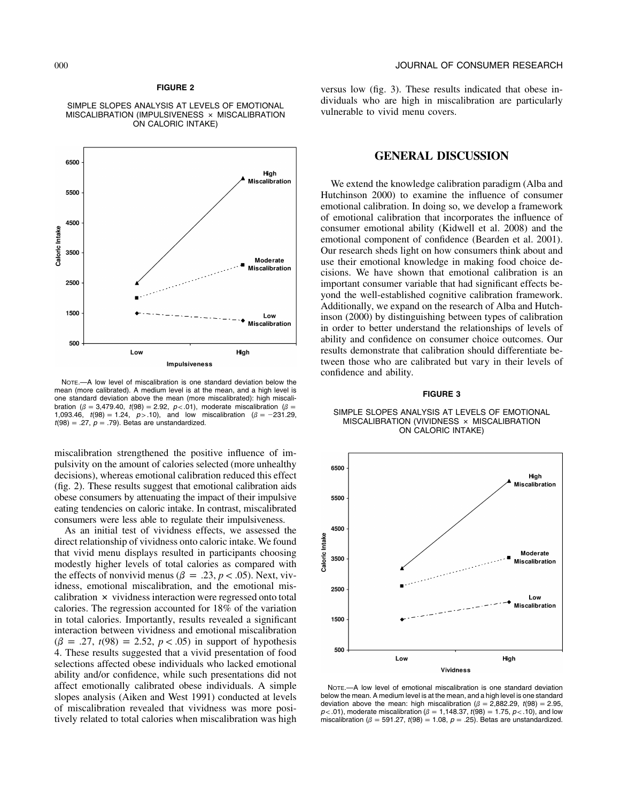#### **FIGURE 2**

SIMPLE SLOPES ANALYSIS AT LEVELS OF EMOTIONAL MISCALIBRATION (IMPULSIVENESS  $\times$  MISCALIBRATION ON CALORIC INTAKE)



NOTE.—A low level of miscalibration is one standard deviation below the mean (more calibrated). A medium level is at the mean, and a high level is one standard deviation above the mean (more miscalibrated): high miscalibration ( $\beta = 3,479.40$ ,  $t(98) = 2.92$ ,  $p < .01$ ), moderate miscalibration ( $\beta =$ 1,093.46,  $t(98) = 1.24$ ,  $p > 10$ ), and low miscalibration  $(\beta = -231.29,$  $t(98) = 27$ ,  $p = 79$ ). Betas are unstandardized.

miscalibration strengthened the positive influence of impulsivity on the amount of calories selected (more unhealthy decisions), whereas emotional calibration reduced this effect (fig. 2). These results suggest that emotional calibration aids obese consumers by attenuating the impact of their impulsive eating tendencies on caloric intake. In contrast, miscalibrated consumers were less able to regulate their impulsiveness.

As an initial test of vividness effects, we assessed the direct relationship of vividness onto caloric intake. We found that vivid menu displays resulted in participants choosing modestly higher levels of total calories as compared with the effects of nonvivid menus ( $\beta = .23$ ,  $p < .05$ ). Next, vividness, emotional miscalibration, and the emotional miscalibration  $\times$  vividness interaction were regressed onto total calories. The regression accounted for 18% of the variation in total calories. Importantly, results revealed a significant interaction between vividness and emotional miscalibration  $(\beta = .27, t(98) = 2.52, p < .05)$  in support of hypothesis 4. These results suggested that a vivid presentation of food selections affected obese individuals who lacked emotional ability and/or confidence, while such presentations did not affect emotionally calibrated obese individuals. A simple slopes analysis (Aiken and West 1991) conducted at levels of miscalibration revealed that vividness was more positively related to total calories when miscalibration was high

versus low (fig. 3). These results indicated that obese individuals who are high in miscalibration are particularly vulnerable to vivid menu covers.

# **GENERAL DISCUSSION**

We extend the knowledge calibration paradigm (Alba and Hutchinson 2000) to examine the influence of consumer emotional calibration. In doing so, we develop a framework of emotional calibration that incorporates the influence of consumer emotional ability (Kidwell et al. 2008) and the emotional component of confidence (Bearden et al. 2001). Our research sheds light on how consumers think about and use their emotional knowledge in making food choice decisions. We have shown that emotional calibration is an important consumer variable that had significant effects beyond the well-established cognitive calibration framework. Additionally, we expand on the research of Alba and Hutchinson (2000) by distinguishing between types of calibration in order to better understand the relationships of levels of ability and confidence on consumer choice outcomes. Our results demonstrate that calibration should differentiate between those who are calibrated but vary in their levels of confidence and ability.

#### **FIGURE 3**

#### SIMPLE SLOPES ANALYSIS AT LEVELS OF EMOTIONAL MISCALIBRATION (VIVIDNESS × MISCALIBRATION ON CALORIC INTAKE)



NOTE.—A low level of emotional miscalibration is one standard deviation below the mean. A medium level is at the mean, and a high level is one standard deviation above the mean: high miscalibration ( $\beta = 2,882.29$ ,  $t(98) = 2.95$ ,  $p$  < .01), moderate miscalibration ( $\beta$  = 1,148.37, *t*(98) = 1.75,  $p$  < .10), and low miscalibration  $\beta = 591.27$ ,  $t(98) = 1.08$ ,  $p = .25$ ). Betas are unstandardized.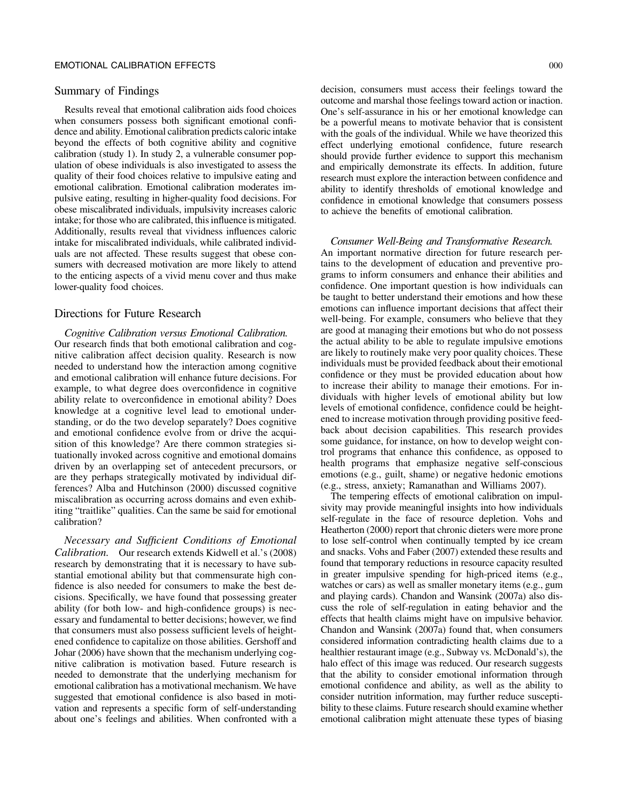# Summary of Findings

Results reveal that emotional calibration aids food choices when consumers possess both significant emotional confidence and ability. Emotional calibration predicts caloric intake beyond the effects of both cognitive ability and cognitive calibration (study 1). In study 2, a vulnerable consumer population of obese individuals is also investigated to assess the quality of their food choices relative to impulsive eating and emotional calibration. Emotional calibration moderates impulsive eating, resulting in higher-quality food decisions. For obese miscalibrated individuals, impulsivity increases caloric intake; for those who are calibrated, this influence is mitigated. Additionally, results reveal that vividness influences caloric intake for miscalibrated individuals, while calibrated individuals are not affected. These results suggest that obese consumers with decreased motivation are more likely to attend to the enticing aspects of a vivid menu cover and thus make lower-quality food choices.

## Directions for Future Research

*Cognitive Calibration versus Emotional Calibration.* Our research finds that both emotional calibration and cognitive calibration affect decision quality. Research is now needed to understand how the interaction among cognitive and emotional calibration will enhance future decisions. For example, to what degree does overconfidence in cognitive ability relate to overconfidence in emotional ability? Does knowledge at a cognitive level lead to emotional understanding, or do the two develop separately? Does cognitive and emotional confidence evolve from or drive the acquisition of this knowledge? Are there common strategies situationally invoked across cognitive and emotional domains driven by an overlapping set of antecedent precursors, or are they perhaps strategically motivated by individual differences? Alba and Hutchinson (2000) discussed cognitive miscalibration as occurring across domains and even exhibiting "traitlike" qualities. Can the same be said for emotional calibration?

*Necessary and Sufficient Conditions of Emotional Calibration.* Our research extends Kidwell et al.'s (2008) research by demonstrating that it is necessary to have substantial emotional ability but that commensurate high confidence is also needed for consumers to make the best decisions. Specifically, we have found that possessing greater ability (for both low- and high-confidence groups) is necessary and fundamental to better decisions; however, we find that consumers must also possess sufficient levels of heightened confidence to capitalize on those abilities. Gershoff and Johar (2006) have shown that the mechanism underlying cognitive calibration is motivation based. Future research is needed to demonstrate that the underlying mechanism for emotional calibration has a motivational mechanism. We have suggested that emotional confidence is also based in motivation and represents a specific form of self-understanding about one's feelings and abilities. When confronted with a decision, consumers must access their feelings toward the outcome and marshal those feelings toward action or inaction. One's self-assurance in his or her emotional knowledge can be a powerful means to motivate behavior that is consistent with the goals of the individual. While we have theorized this effect underlying emotional confidence, future research should provide further evidence to support this mechanism and empirically demonstrate its effects. In addition, future research must explore the interaction between confidence and ability to identify thresholds of emotional knowledge and confidence in emotional knowledge that consumers possess to achieve the benefits of emotional calibration.

#### *Consumer Well-Being and Transformative Research.*

An important normative direction for future research pertains to the development of education and preventive programs to inform consumers and enhance their abilities and confidence. One important question is how individuals can be taught to better understand their emotions and how these emotions can influence important decisions that affect their well-being. For example, consumers who believe that they are good at managing their emotions but who do not possess the actual ability to be able to regulate impulsive emotions are likely to routinely make very poor quality choices. These individuals must be provided feedback about their emotional confidence or they must be provided education about how to increase their ability to manage their emotions. For individuals with higher levels of emotional ability but low levels of emotional confidence, confidence could be heightened to increase motivation through providing positive feedback about decision capabilities. This research provides some guidance, for instance, on how to develop weight control programs that enhance this confidence, as opposed to health programs that emphasize negative self-conscious emotions (e.g., guilt, shame) or negative hedonic emotions (e.g., stress, anxiety; Ramanathan and Williams 2007).

The tempering effects of emotional calibration on impulsivity may provide meaningful insights into how individuals self-regulate in the face of resource depletion. Vohs and Heatherton (2000) report that chronic dieters were more prone to lose self-control when continually tempted by ice cream and snacks. Vohs and Faber (2007) extended these results and found that temporary reductions in resource capacity resulted in greater impulsive spending for high-priced items (e.g., watches or cars) as well as smaller monetary items (e.g., gum and playing cards). Chandon and Wansink (2007a) also discuss the role of self-regulation in eating behavior and the effects that health claims might have on impulsive behavior. Chandon and Wansink (2007a) found that, when consumers considered information contradicting health claims due to a healthier restaurant image (e.g., Subway vs. McDonald's), the halo effect of this image was reduced. Our research suggests that the ability to consider emotional information through emotional confidence and ability, as well as the ability to consider nutrition information, may further reduce susceptibility to these claims. Future research should examine whether emotional calibration might attenuate these types of biasing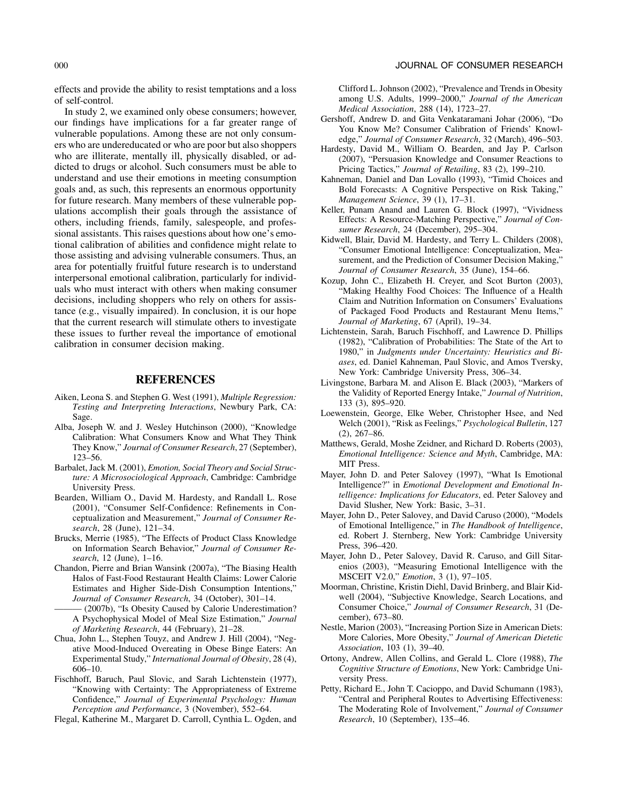effects and provide the ability to resist temptations and a loss of self-control.

In study 2, we examined only obese consumers; however, our findings have implications for a far greater range of vulnerable populations. Among these are not only consumers who are undereducated or who are poor but also shoppers who are illiterate, mentally ill, physically disabled, or addicted to drugs or alcohol. Such consumers must be able to understand and use their emotions in meeting consumption goals and, as such, this represents an enormous opportunity for future research. Many members of these vulnerable populations accomplish their goals through the assistance of others, including friends, family, salespeople, and professional assistants. This raises questions about how one's emotional calibration of abilities and confidence might relate to those assisting and advising vulnerable consumers. Thus, an area for potentially fruitful future research is to understand interpersonal emotional calibration, particularly for individuals who must interact with others when making consumer decisions, including shoppers who rely on others for assistance (e.g., visually impaired). In conclusion, it is our hope that the current research will stimulate others to investigate these issues to further reveal the importance of emotional calibration in consumer decision making.

# **REFERENCES**

- Aiken, Leona S. and Stephen G. West (1991), *Multiple Regression: Testing and Interpreting Interactions*, Newbury Park, CA: Sage.
- Alba, Joseph W. and J. Wesley Hutchinson (2000), "Knowledge Calibration: What Consumers Know and What They Think They Know," *Journal of Consumer Research*, 27 (September), 123–56.
- Barbalet, Jack M. (2001), *Emotion, Social Theory and Social Structure: A Microsociological Approach*, Cambridge: Cambridge University Press.
- Bearden, William O., David M. Hardesty, and Randall L. Rose (2001), "Consumer Self-Confidence: Refinements in Conceptualization and Measurement," *Journal of Consumer Research*, 28 (June), 121–34.
- Brucks, Merrie (1985), "The Effects of Product Class Knowledge on Information Search Behavior," *Journal of Consumer Research*, 12 (June), 1–16.
- Chandon, Pierre and Brian Wansink (2007a), "The Biasing Health Halos of Fast-Food Restaurant Health Claims: Lower Calorie Estimates and Higher Side-Dish Consumption Intentions," *Journal of Consumer Research*, 34 (October), 301–14.

——— (2007b), "Is Obesity Caused by Calorie Underestimation? A Psychophysical Model of Meal Size Estimation," *Journal of Marketing Research*, 44 (February), 21–28.

- Chua, John L., Stephen Touyz, and Andrew J. Hill (2004), "Negative Mood-Induced Overeating in Obese Binge Eaters: An Experimental Study," *International Journal of Obesity*, 28 (4), 606–10.
- Fischhoff, Baruch, Paul Slovic, and Sarah Lichtenstein (1977), "Knowing with Certainty: The Appropriateness of Extreme Confidence," *Journal of Experimental Psychology: Human Perception and Performance*, 3 (November), 552–64.

Flegal, Katherine M., Margaret D. Carroll, Cynthia L. Ogden, and

Clifford L. Johnson (2002), "Prevalence and Trends in Obesity among U.S. Adults, 1999–2000," *Journal of the American Medical Association*, 288 (14), 1723–27.

- Gershoff, Andrew D. and Gita Venkataramani Johar (2006), "Do You Know Me? Consumer Calibration of Friends' Knowledge," *Journal of Consumer Research*, 32 (March), 496–503.
- Hardesty, David M., William O. Bearden, and Jay P. Carlson (2007), "Persuasion Knowledge and Consumer Reactions to Pricing Tactics," *Journal of Retailing*, 83 (2), 199–210.
- Kahneman, Daniel and Dan Lovallo (1993), "Timid Choices and Bold Forecasts: A Cognitive Perspective on Risk Taking," *Management Science*, 39 (1), 17–31.
- Keller, Punam Anand and Lauren G. Block (1997), "Vividness Effects: A Resource-Matching Perspective," *Journal of Consumer Research*, 24 (December), 295–304.
- Kidwell, Blair, David M. Hardesty, and Terry L. Childers (2008), "Consumer Emotional Intelligence: Conceptualization, Measurement, and the Prediction of Consumer Decision Making,' *Journal of Consumer Research*, 35 (June), 154–66.
- Kozup, John C., Elizabeth H. Creyer, and Scot Burton (2003), "Making Healthy Food Choices: The Influence of a Health Claim and Nutrition Information on Consumers' Evaluations of Packaged Food Products and Restaurant Menu Items,' *Journal of Marketing*, 67 (April), 19–34.
- Lichtenstein, Sarah, Baruch Fischhoff, and Lawrence D. Phillips (1982), "Calibration of Probabilities: The State of the Art to 1980," in *Judgments under Uncertainty: Heuristics and Biases*, ed. Daniel Kahneman, Paul Slovic, and Amos Tversky, New York: Cambridge University Press, 306–34.
- Livingstone, Barbara M. and Alison E. Black (2003), "Markers of the Validity of Reported Energy Intake," *Journal of Nutrition*, 133 (3), 895–920.
- Loewenstein, George, Elke Weber, Christopher Hsee, and Ned Welch (2001), "Risk as Feelings," *Psychological Bulletin*, 127 (2), 267–86.
- Matthews, Gerald, Moshe Zeidner, and Richard D. Roberts (2003), *Emotional Intelligence: Science and Myth*, Cambridge, MA: MIT Press.
- Mayer, John D. and Peter Salovey (1997), "What Is Emotional Intelligence?" in *Emotional Development and Emotional Intelligence: Implications for Educators*, ed. Peter Salovey and David Slusher, New York: Basic, 3–31.
- Mayer, John D., Peter Salovey, and David Caruso (2000), "Models of Emotional Intelligence," in *The Handbook of Intelligence*, ed. Robert J. Sternberg, New York: Cambridge University Press, 396–420.
- Mayer, John D., Peter Salovey, David R. Caruso, and Gill Sitarenios (2003), "Measuring Emotional Intelligence with the MSCEIT V2.0," *Emotion*, 3 (1), 97–105.
- Moorman, Christine, Kristin Diehl, David Brinberg, and Blair Kidwell (2004), "Subjective Knowledge, Search Locations, and Consumer Choice," *Journal of Consumer Research*, 31 (December), 673–80.
- Nestle, Marion (2003), "Increasing Portion Size in American Diets: More Calories, More Obesity," *Journal of American Dietetic Association*, 103 (1), 39–40.
- Ortony, Andrew, Allen Collins, and Gerald L. Clore (1988), *The Cognitive Structure of Emotions*, New York: Cambridge University Press.
- Petty, Richard E., John T. Cacioppo, and David Schumann (1983), "Central and Peripheral Routes to Advertising Effectiveness: The Moderating Role of Involvement," *Journal of Consumer Research*, 10 (September), 135–46.